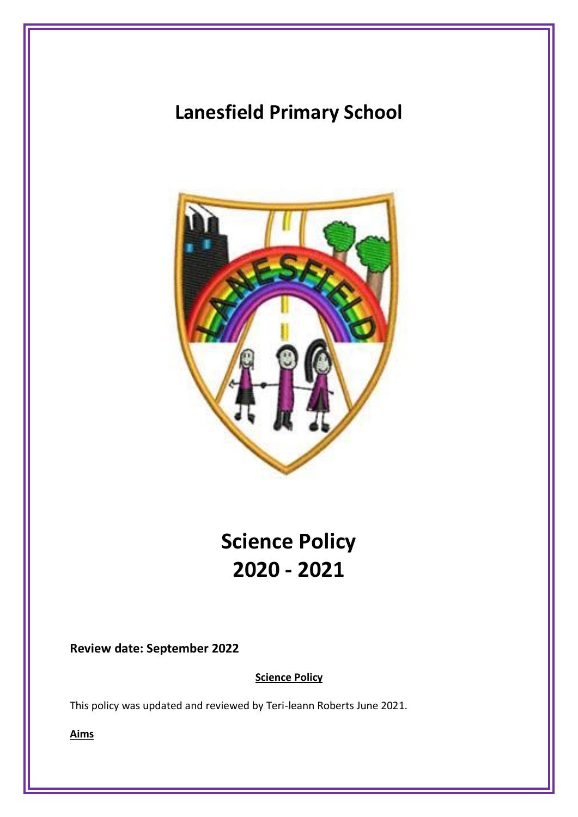## **Lanesfield Primary School**



# **Science Policy 2020 - 2021**

**Review date: September 2022**

**Science Policy**

This policy was updated and reviewed by Teri-leann Roberts June 2021.

**Aims**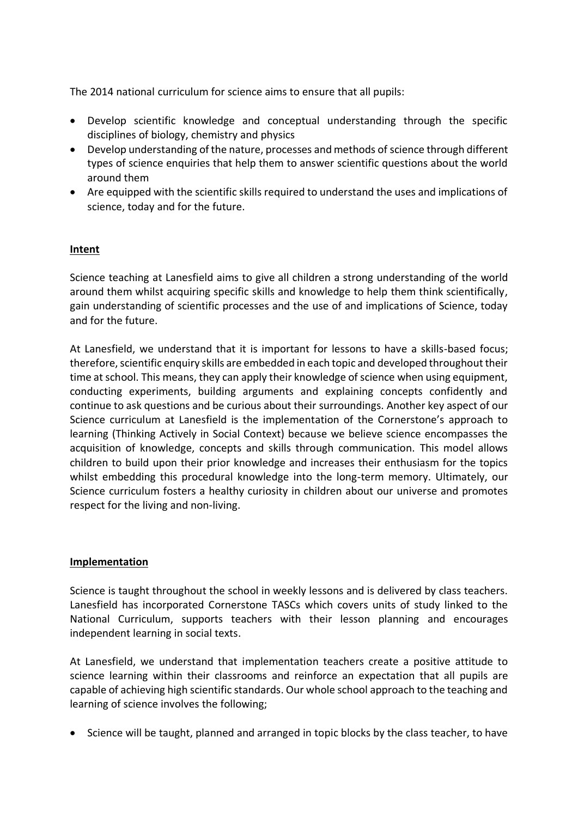The 2014 national curriculum for science aims to ensure that all pupils:

- Develop scientific knowledge and conceptual understanding through the specific disciplines of biology, chemistry and physics
- Develop understanding of the nature, processes and methods of science through different types of science enquiries that help them to answer scientific questions about the world around them
- Are equipped with the scientific skills required to understand the uses and implications of science, today and for the future.

## **Intent**

Science teaching at Lanesfield aims to give all children a strong understanding of the world around them whilst acquiring specific skills and knowledge to help them think scientifically, gain understanding of scientific processes and the use of and implications of Science, today and for the future.

At Lanesfield, we understand that it is important for lessons to have a skills-based focus; therefore, scientific enquiry skills are embedded in each topic and developed throughout their time at school. This means, they can apply their knowledge of science when using equipment, conducting experiments, building arguments and explaining concepts confidently and continue to ask questions and be curious about their surroundings. Another key aspect of our Science curriculum at Lanesfield is the implementation of the Cornerstone's approach to learning (Thinking Actively in Social Context) because we believe science encompasses the acquisition of knowledge, concepts and skills through communication. This model allows children to build upon their prior knowledge and increases their enthusiasm for the topics whilst embedding this procedural knowledge into the long-term memory. Ultimately, our Science curriculum fosters a healthy curiosity in children about our universe and promotes respect for the living and non-living.

#### **Implementation**

Science is taught throughout the school in weekly lessons and is delivered by class teachers. Lanesfield has incorporated Cornerstone TASCs which covers units of study linked to the National Curriculum, supports teachers with their lesson planning and encourages independent learning in social texts.

At Lanesfield, we understand that implementation teachers create a positive attitude to science learning within their classrooms and reinforce an expectation that all pupils are capable of achieving high scientific standards. Our whole school approach to the teaching and learning of science involves the following;

• Science will be taught, planned and arranged in topic blocks by the class teacher, to have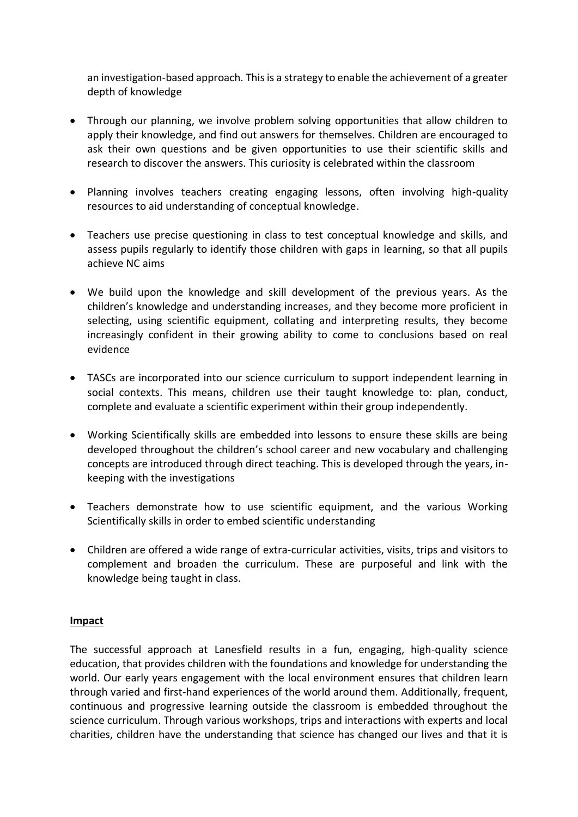an investigation-based approach. This is a strategy to enable the achievement of a greater depth of knowledge

- Through our planning, we involve problem solving opportunities that allow children to apply their knowledge, and find out answers for themselves. Children are encouraged to ask their own questions and be given opportunities to use their scientific skills and research to discover the answers. This curiosity is celebrated within the classroom
- Planning involves teachers creating engaging lessons, often involving high-quality resources to aid understanding of conceptual knowledge.
- Teachers use precise questioning in class to test conceptual knowledge and skills, and assess pupils regularly to identify those children with gaps in learning, so that all pupils achieve NC aims
- We build upon the knowledge and skill development of the previous years. As the children's knowledge and understanding increases, and they become more proficient in selecting, using scientific equipment, collating and interpreting results, they become increasingly confident in their growing ability to come to conclusions based on real evidence
- TASCs are incorporated into our science curriculum to support independent learning in social contexts. This means, children use their taught knowledge to: plan, conduct, complete and evaluate a scientific experiment within their group independently.
- Working Scientifically skills are embedded into lessons to ensure these skills are being developed throughout the children's school career and new vocabulary and challenging concepts are introduced through direct teaching. This is developed through the years, inkeeping with the investigations
- Teachers demonstrate how to use scientific equipment, and the various Working Scientifically skills in order to embed scientific understanding
- Children are offered a wide range of extra-curricular activities, visits, trips and visitors to complement and broaden the curriculum. These are purposeful and link with the knowledge being taught in class.

#### **Impact**

The successful approach at Lanesfield results in a fun, engaging, high-quality science education, that provides children with the foundations and knowledge for understanding the world. Our early years engagement with the local environment ensures that children learn through varied and first-hand experiences of the world around them. Additionally, frequent, continuous and progressive learning outside the classroom is embedded throughout the science curriculum. Through various workshops, trips and interactions with experts and local charities, children have the understanding that science has changed our lives and that it is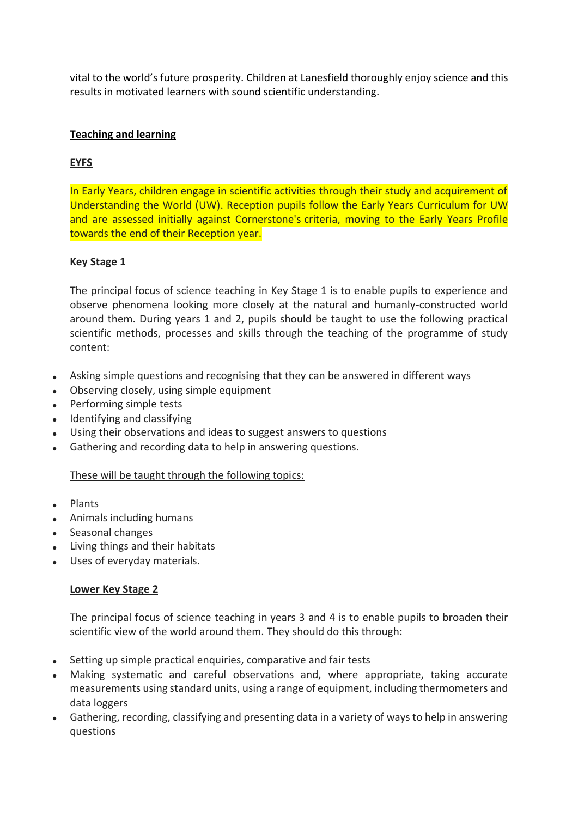vital to the world's future prosperity. Children at Lanesfield thoroughly enjoy science and this results in motivated learners with sound scientific understanding.

## **Teaching and learning**

## **EYFS**

In Early Years, children engage in scientific activities through their study and acquirement of Understanding the World (UW). Reception pupils follow the Early Years Curriculum for UW and are assessed initially against Cornerstone's criteria, moving to the Early Years Profile towards the end of their Reception year.

#### **Key Stage 1**

The principal focus of science teaching in Key Stage 1 is to enable pupils to experience and observe phenomena looking more closely at the natural and humanly-constructed world around them. During years 1 and 2, pupils should be taught to use the following practical scientific methods, processes and skills through the teaching of the programme of study content:

- Asking simple questions and recognising that they can be answered in different ways
- Observing closely, using simple equipment
- Performing simple tests
- Identifying and classifying
- Using their observations and ideas to suggest answers to questions
- Gathering and recording data to help in answering questions.

#### These will be taught through the following topics:

- Plants
- Animals including humans
- Seasonal changes
- Living things and their habitats
- Uses of everyday materials.

#### **Lower Key Stage 2**

The principal focus of science teaching in years 3 and 4 is to enable pupils to broaden their scientific view of the world around them. They should do this through:

- Setting up simple practical enquiries, comparative and fair tests
- Making systematic and careful observations and, where appropriate, taking accurate measurements using standard units, using a range of equipment, including thermometers and data loggers
- Gathering, recording, classifying and presenting data in a variety of ways to help in answering questions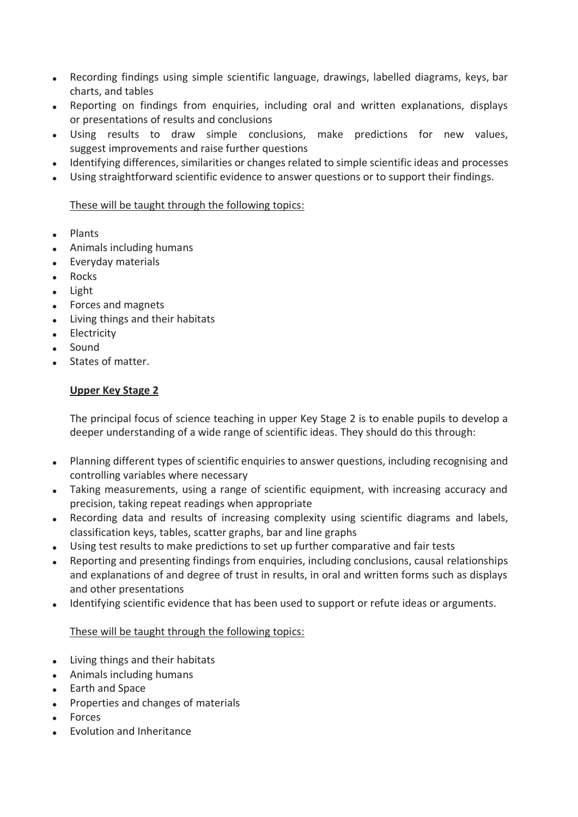- Recording findings using simple scientific language, drawings, labelled diagrams, keys, bar charts, and tables
- Reporting on findings from enquiries, including oral and written explanations, displays or presentations of results and conclusions
- Using results to draw simple conclusions, make predictions for new values, suggest improvements and raise further questions
- Identifying differences, similarities or changes related to simple scientific ideas and processes
- Using straightforward scientific evidence to answer questions or to support their findings.

## These will be taught through the following topics:

- Plants
- Animals including humans
- Everyday materials
- Rocks
- Light
- Forces and magnets
- Living things and their habitats
- **Electricity**
- Sound
- States of matter.

## **Upper Key Stage 2**

The principal focus of science teaching in upper Key Stage 2 is to enable pupils to develop a deeper understanding of a wide range of scientific ideas. They should do this through:

- Planning different types of scientific enquiries to answer questions, including recognising and controlling variables where necessary
- Taking measurements, using a range of scientific equipment, with increasing accuracy and precision, taking repeat readings when appropriate
- Recording data and results of increasing complexity using scientific diagrams and labels, classification keys, tables, scatter graphs, bar and line graphs
- Using test results to make predictions to set up further comparative and fair tests
- Reporting and presenting findings from enquiries, including conclusions, causal relationships and explanations of and degree of trust in results, in oral and written forms such as displays and other presentations
- Identifying scientific evidence that has been used to support or refute ideas or arguments.

## These will be taught through the following topics:

- Living things and their habitats
- Animals including humans
- Earth and Space
- Properties and changes of materials
- Forces
- Evolution and Inheritance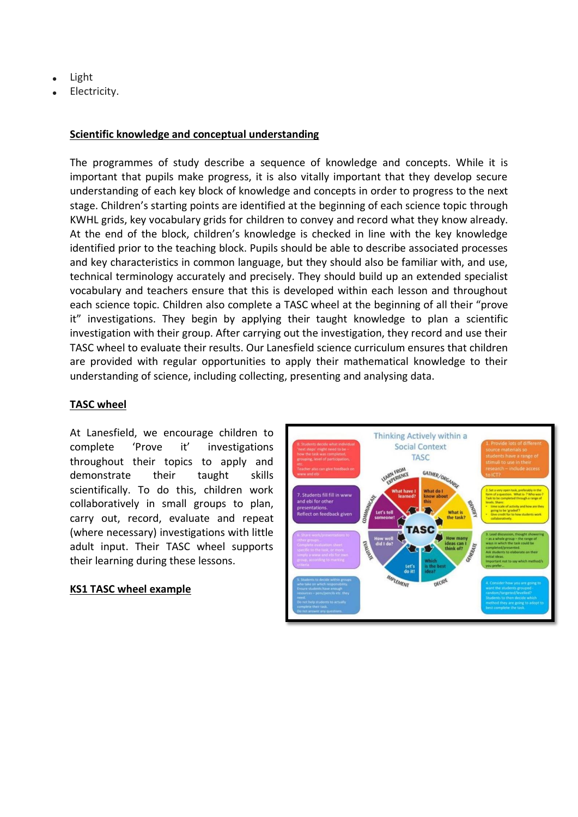- Light
- Electricity.

## **Scientific knowledge and conceptual understanding**

The programmes of study describe a sequence of knowledge and concepts. While it is important that pupils make progress, it is also vitally important that they develop secure understanding of each key block of knowledge and concepts in order to progress to the next stage. Children's starting points are identified at the beginning of each science topic through KWHL grids, key vocabulary grids for children to convey and record what they know already. At the end of the block, children's knowledge is checked in line with the key knowledge identified prior to the teaching block. Pupils should be able to describe associated processes and key characteristics in common language, but they should also be familiar with, and use, technical terminology accurately and precisely. They should build up an extended specialist vocabulary and teachers ensure that this is developed within each lesson and throughout each science topic. Children also complete a TASC wheel at the beginning of all their "prove it" investigations. They begin by applying their taught knowledge to plan a scientific investigation with their group. After carrying out the investigation, they record and use their TASC wheel to evaluate their results. Our Lanesfield science curriculum ensures that children are provided with regular opportunities to apply their mathematical knowledge to their understanding of science, including collecting, presenting and analysing data.

#### **TASC wheel**

At Lanesfield, we encourage children to complete 'Prove it' investigations throughout their topics to apply and demonstrate their taught skills scientifically. To do this, children work collaboratively in small groups to plan, carry out, record, evaluate and repeat (where necessary) investigations with little adult input. Their TASC wheel supports their learning during these lessons.

#### **KS1 TASC wheel example**

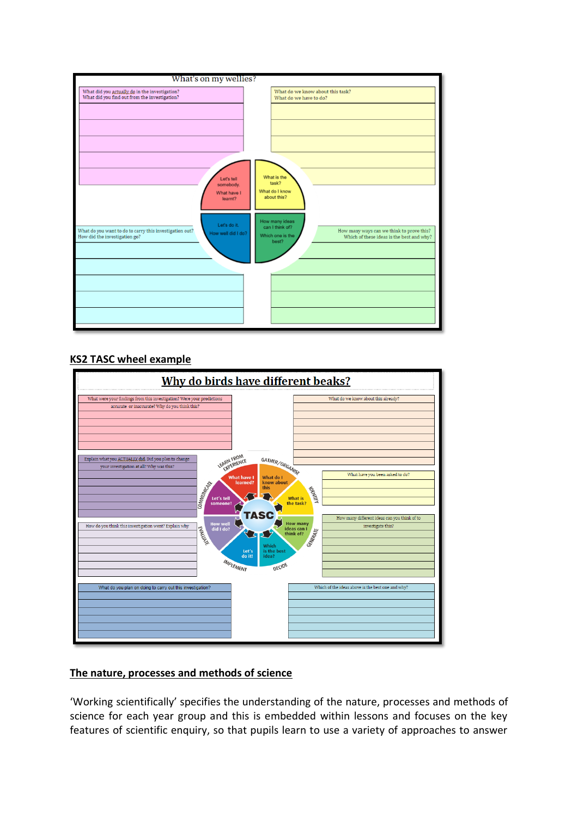

## **KS2 TASC wheel example**



## **The nature, processes and methods of science**

'Working scientifically' specifies the understanding of the nature, processes and methods of science for each year group and this is embedded within lessons and focuses on the key features of scientific enquiry, so that pupils learn to use a variety of approaches to answer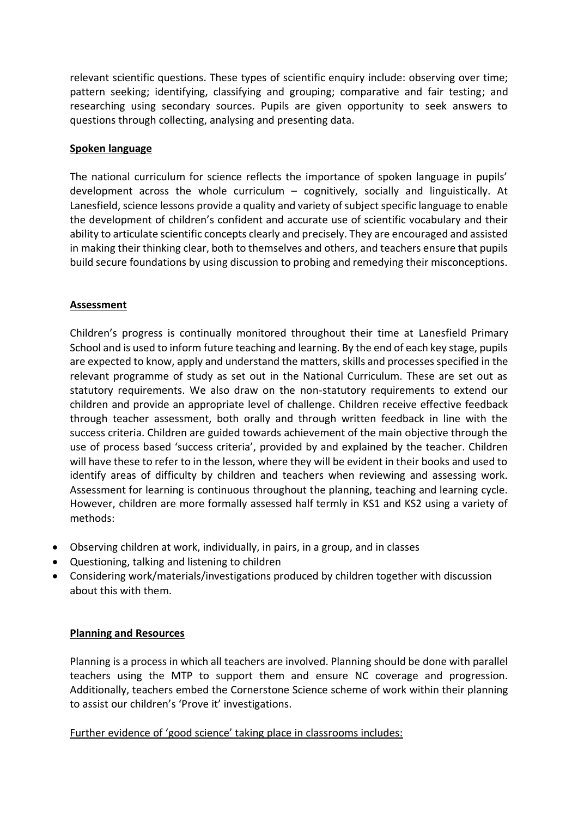relevant scientific questions. These types of scientific enquiry include: observing over time; pattern seeking; identifying, classifying and grouping; comparative and fair testing; and researching using secondary sources. Pupils are given opportunity to seek answers to questions through collecting, analysing and presenting data.

#### **Spoken language**

The national curriculum for science reflects the importance of spoken language in pupils' development across the whole curriculum – cognitively, socially and linguistically. At Lanesfield, science lessons provide a quality and variety of subject specific language to enable the development of children's confident and accurate use of scientific vocabulary and their ability to articulate scientific concepts clearly and precisely. They are encouraged and assisted in making their thinking clear, both to themselves and others, and teachers ensure that pupils build secure foundations by using discussion to probing and remedying their misconceptions.

### **Assessment**

Children's progress is continually monitored throughout their time at Lanesfield Primary School and is used to inform future teaching and learning. By the end of each key stage, pupils are expected to know, apply and understand the matters, skills and processes specified in the relevant programme of study as set out in the National Curriculum. These are set out as statutory requirements. We also draw on the non-statutory requirements to extend our children and provide an appropriate level of challenge. Children receive effective feedback through teacher assessment, both orally and through written feedback in line with the success criteria. Children are guided towards achievement of the main objective through the use of process based 'success criteria', provided by and explained by the teacher. Children will have these to refer to in the lesson, where they will be evident in their books and used to identify areas of difficulty by children and teachers when reviewing and assessing work. Assessment for learning is continuous throughout the planning, teaching and learning cycle. However, children are more formally assessed half termly in KS1 and KS2 using a variety of methods:

- Observing children at work, individually, in pairs, in a group, and in classes
- Questioning, talking and listening to children
- Considering work/materials/investigations produced by children together with discussion about this with them.

#### **Planning and Resources**

Planning is a process in which all teachers are involved. Planning should be done with parallel teachers using the MTP to support them and ensure NC coverage and progression. Additionally, teachers embed the Cornerstone Science scheme of work within their planning to assist our children's 'Prove it' investigations.

Further evidence of 'good science' taking place in classrooms includes: